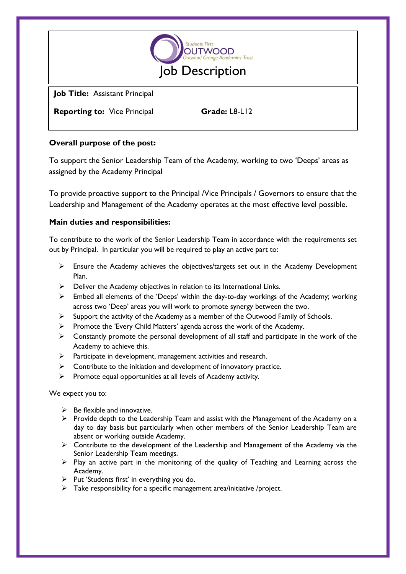

**Job Title:** Assistant Principal

**Reporting to:** Vice Principal **Grade:** L8-L12

## **Overall purpose of the post:**

To support the Senior Leadership Team of the Academy, working to two 'Deeps' areas as assigned by the Academy Principal

To provide proactive support to the Principal /Vice Principals / Governors to ensure that the Leadership and Management of the Academy operates at the most effective level possible.

## **Main duties and responsibilities:**

To contribute to the work of the Senior Leadership Team in accordance with the requirements set out by Principal. In particular you will be required to play an active part to:

- Ensure the Academy achieves the objectives/targets set out in the Academy Development Plan.
- $\triangleright$  Deliver the Academy objectives in relation to its International Links.
- $\triangleright$  Embed all elements of the 'Deeps' within the day-to-day workings of the Academy; working across two 'Deep' areas you will work to promote synergy between the two.
- $\triangleright$  Support the activity of the Academy as a member of the Outwood Family of Schools.
- $\triangleright$  Promote the 'Every Child Matters' agenda across the work of the Academy.
- $\triangleright$  Constantly promote the personal development of all staff and participate in the work of the Academy to achieve this.
- $\triangleright$  Participate in development, management activities and research.
- $\triangleright$  Contribute to the initiation and development of innovatory practice.
- $\triangleright$  Promote equal opportunities at all levels of Academy activity.

We expect you to:

- $\triangleright$  Be flexible and innovative.
- $\triangleright$  Provide depth to the Leadership Team and assist with the Management of the Academy on a day to day basis but particularly when other members of the Senior Leadership Team are absent or working outside Academy.
- $\triangleright$  Contribute to the development of the Leadership and Management of the Academy via the Senior Leadership Team meetings.
- $\triangleright$  Play an active part in the monitoring of the quality of Teaching and Learning across the Academy.
- $\triangleright$  Put 'Students first' in everything you do.
- $\triangleright$  Take responsibility for a specific management area/initiative /project.